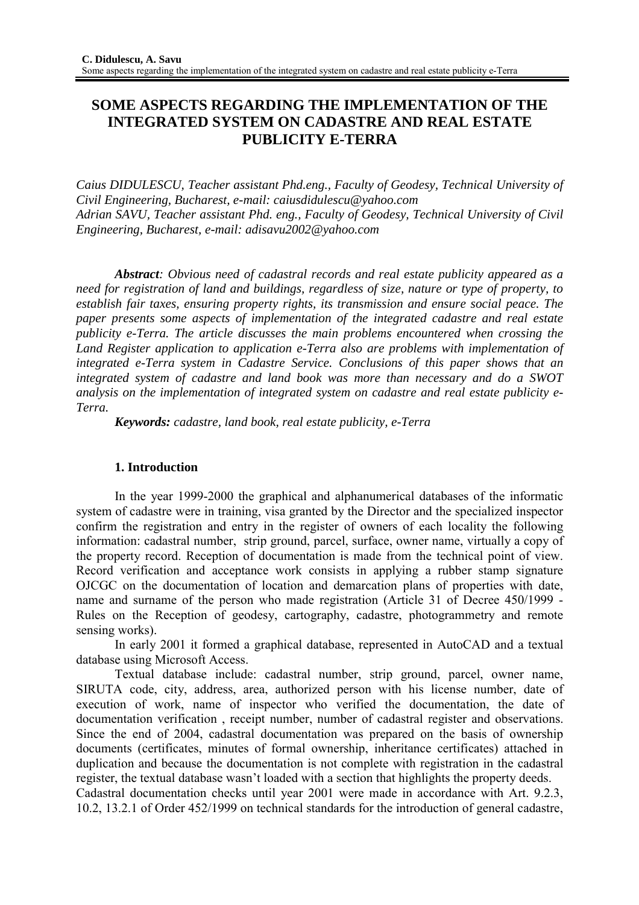# **SOME ASPECTS REGARDING THE IMPLEMENTATION OF THE INTEGRATED SYSTEM ON CADASTRE AND REAL ESTATE PUBLICITY E-TERRA**

*Caius DIDULESCU, Teacher assistant Phd.eng., Faculty of Geodesy, Technical University of Civil Engineering, Bucharest, e-mail: caiusdidulescu@yahoo.com Adrian SAVU, Teacher assistant Phd. eng., Faculty of Geodesy, Technical University of Civil Engineering, Bucharest, e-mail: adisavu2002@yahoo.com* 

*Abstract: Obvious need of cadastral records and real estate publicity appeared as a need for registration of land and buildings, regardless of size, nature or type of property, to establish fair taxes, ensuring property rights, its transmission and ensure social peace. The paper presents some aspects of implementation of the integrated cadastre and real estate publicity e-Terra. The article discusses the main problems encountered when crossing the Land Register application to application e-Terra also are problems with implementation of integrated e-Terra system in Cadastre Service. Conclusions of this paper shows that an integrated system of cadastre and land book was more than necessary and do a SWOT analysis on the implementation of integrated system on cadastre and real estate publicity e-Terra.*

*Keywords: cadastre, land book, real estate publicity, e-Terra* 

## **1. Introduction**

 In the year 1999-2000 the graphical and alphanumerical databases of the informatic system of cadastre were in training, visa granted by the Director and the specialized inspector confirm the registration and entry in the register of owners of each locality the following information: cadastral number, strip ground, parcel, surface, owner name, virtually a copy of the property record. Reception of documentation is made from the technical point of view. Record verification and acceptance work consists in applying a rubber stamp signature OJCGC on the documentation of location and demarcation plans of properties with date, name and surname of the person who made registration (Article 31 of Decree 450/1999 - Rules on the Reception of geodesy, cartography, cadastre, photogrammetry and remote sensing works).

 In early 2001 it formed a graphical database, represented in AutoCAD and a textual database using Microsoft Access.

 Textual database include: cadastral number, strip ground, parcel, owner name, SIRUTA code, city, address, area, authorized person with his license number, date of execution of work, name of inspector who verified the documentation, the date of documentation verification , receipt number, number of cadastral register and observations. Since the end of 2004, cadastral documentation was prepared on the basis of ownership documents (certificates, minutes of formal ownership, inheritance certificates) attached in duplication and because the documentation is not complete with registration in the cadastral register, the textual database wasn't loaded with a section that highlights the property deeds.

Cadastral documentation checks until year 2001 were made in accordance with Art. 9.2.3, 10.2, 13.2.1 of Order 452/1999 on technical standards for the introduction of general cadastre,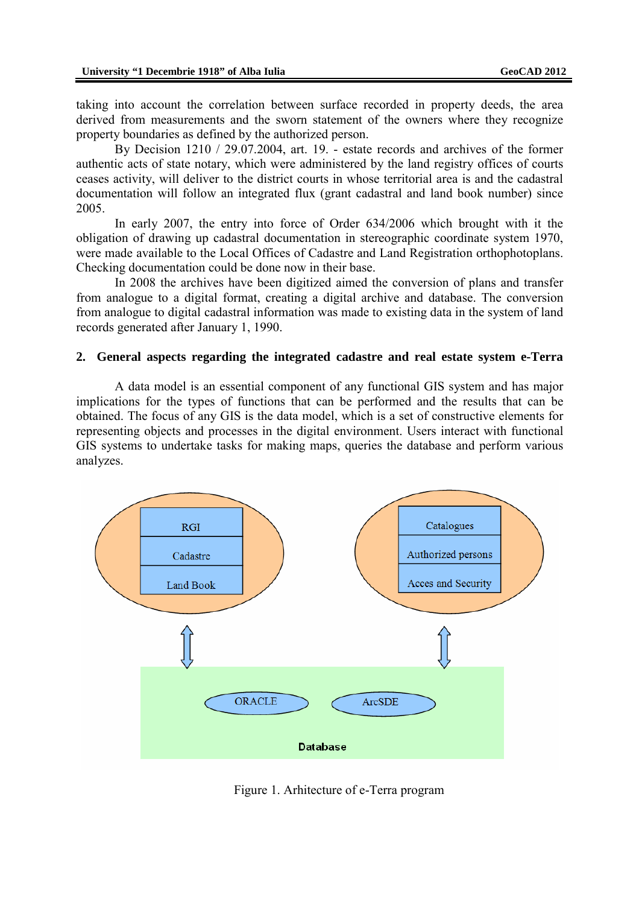taking into account the correlation between surface recorded in property deeds, the area derived from measurements and the sworn statement of the owners where they recognize property boundaries as defined by the authorized person.

 By Decision 1210 / 29.07.2004, art. 19. - estate records and archives of the former authentic acts of state notary, which were administered by the land registry offices of courts ceases activity, will deliver to the district courts in whose territorial area is and the cadastral documentation will follow an integrated flux (grant cadastral and land book number) since 2005.

 In early 2007, the entry into force of Order 634/2006 which brought with it the obligation of drawing up cadastral documentation in stereographic coordinate system 1970, were made available to the Local Offices of Cadastre and Land Registration orthophotoplans. Checking documentation could be done now in their base.

 In 2008 the archives have been digitized aimed the conversion of plans and transfer from analogue to a digital format, creating a digital archive and database. The conversion from analogue to digital cadastral information was made to existing data in the system of land records generated after January 1, 1990.

#### **2. General aspects regarding the integrated cadastre and real estate system e-Terra**

 A data model is an essential component of any functional GIS system and has major implications for the types of functions that can be performed and the results that can be obtained. The focus of any GIS is the data model, which is a set of constructive elements for representing objects and processes in the digital environment. Users interact with functional GIS systems to undertake tasks for making maps, queries the database and perform various analyzes.



Figure 1. Arhitecture of e-Terra program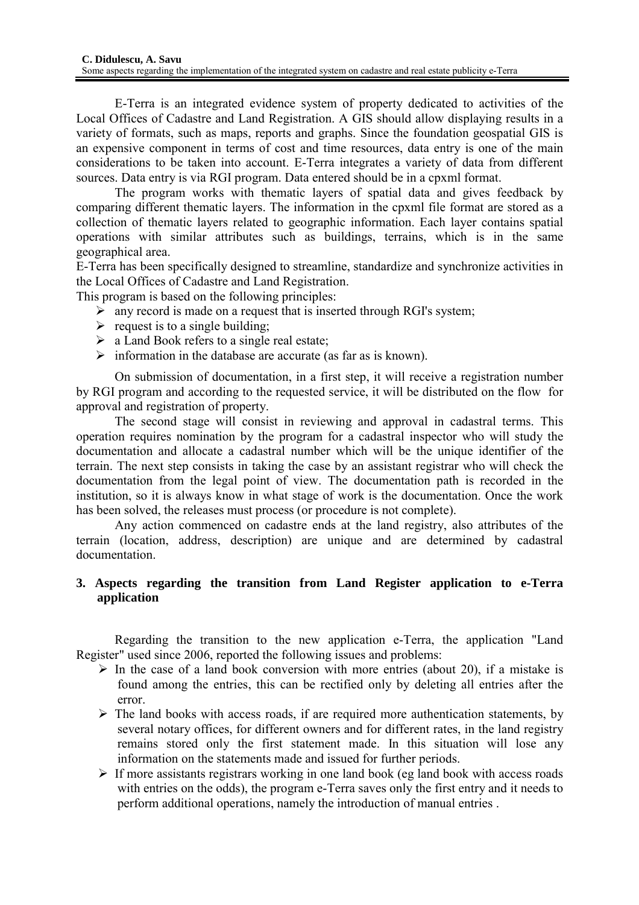E-Terra is an integrated evidence system of property dedicated to activities of the Local Offices of Cadastre and Land Registration. A GIS should allow displaying results in a variety of formats, such as maps, reports and graphs. Since the foundation geospatial GIS is an expensive component in terms of cost and time resources, data entry is one of the main considerations to be taken into account. E-Terra integrates a variety of data from different sources. Data entry is via RGI program. Data entered should be in a cpxml format.

The program works with thematic layers of spatial data and gives feedback by comparing different thematic layers. The information in the cpxml file format are stored as a collection of thematic layers related to geographic information. Each layer contains spatial operations with similar attributes such as buildings, terrains, which is in the same geographical area.

E-Terra has been specifically designed to streamline, standardize and synchronize activities in the Local Offices of Cadastre and Land Registration.

This program is based on the following principles:

- $\triangleright$  any record is made on a request that is inserted through RGI's system;
- $\triangleright$  request is to a single building;
- $\triangleright$  a Land Book refers to a single real estate;
- $\triangleright$  information in the database are accurate (as far as is known).

On submission of documentation, in a first step, it will receive a registration number by RGI program and according to the requested service, it will be distributed on the flow for approval and registration of property.

The second stage will consist in reviewing and approval in cadastral terms. This operation requires nomination by the program for a cadastral inspector who will study the documentation and allocate a cadastral number which will be the unique identifier of the terrain. The next step consists in taking the case by an assistant registrar who will check the documentation from the legal point of view. The documentation path is recorded in the institution, so it is always know in what stage of work is the documentation. Once the work has been solved, the releases must process (or procedure is not complete).

Any action commenced on cadastre ends at the land registry, also attributes of the terrain (location, address, description) are unique and are determined by cadastral documentation.

# **3. Aspects regarding the transition from Land Register application to e-Terra application**

 Regarding the transition to the new application e-Terra, the application "Land Register" used since 2006, reported the following issues and problems:

- $\triangleright$  In the case of a land book conversion with more entries (about 20), if a mistake is found among the entries, this can be rectified only by deleting all entries after the error.
- $\triangleright$  The land books with access roads, if are required more authentication statements, by several notary offices, for different owners and for different rates, in the land registry remains stored only the first statement made. In this situation will lose any information on the statements made and issued for further periods.
- $\triangleright$  If more assistants registrars working in one land book (eg land book with access roads with entries on the odds), the program e-Terra saves only the first entry and it needs to perform additional operations, namely the introduction of manual entries .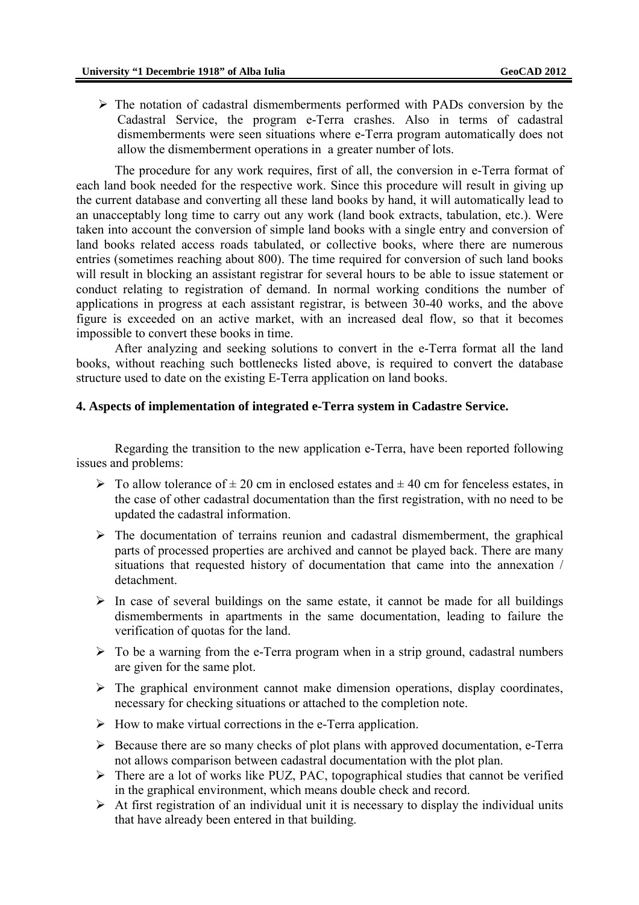$\triangleright$  The notation of cadastral dismemberments performed with PADs conversion by the Cadastral Service, the program e-Terra crashes. Also in terms of cadastral dismemberments were seen situations where e-Terra program automatically does not allow the dismemberment operations in a greater number of lots.

 The procedure for any work requires, first of all, the conversion in e-Terra format of each land book needed for the respective work. Since this procedure will result in giving up the current database and converting all these land books by hand, it will automatically lead to an unacceptably long time to carry out any work (land book extracts, tabulation, etc.). Were taken into account the conversion of simple land books with a single entry and conversion of land books related access roads tabulated, or collective books, where there are numerous entries (sometimes reaching about 800). The time required for conversion of such land books will result in blocking an assistant registrar for several hours to be able to issue statement or conduct relating to registration of demand. In normal working conditions the number of applications in progress at each assistant registrar, is between 30-40 works, and the above figure is exceeded on an active market, with an increased deal flow, so that it becomes impossible to convert these books in time.

 After analyzing and seeking solutions to convert in the e-Terra format all the land books, without reaching such bottlenecks listed above, is required to convert the database structure used to date on the existing E-Terra application on land books.

## **4. Aspects of implementation of integrated e-Terra system in Cadastre Service.**

 Regarding the transition to the new application e-Terra, have been reported following issues and problems:

- $\triangleright$  To allow tolerance of  $\pm 20$  cm in enclosed estates and  $\pm 40$  cm for fenceless estates, in the case of other cadastral documentation than the first registration, with no need to be updated the cadastral information.
- $\triangleright$  The documentation of terrains reunion and cadastral dismemberment, the graphical parts of processed properties are archived and cannot be played back. There are many situations that requested history of documentation that came into the annexation / detachment.
- $\triangleright$  In case of several buildings on the same estate, it cannot be made for all buildings dismemberments in apartments in the same documentation, leading to failure the verification of quotas for the land.
- $\triangleright$  To be a warning from the e-Terra program when in a strip ground, cadastral numbers are given for the same plot.
- $\triangleright$  The graphical environment cannot make dimension operations, display coordinates, necessary for checking situations or attached to the completion note.
- $\triangleright$  How to make virtual corrections in the e-Terra application.
- $\triangleright$  Because there are so many checks of plot plans with approved documentation, e-Terra not allows comparison between cadastral documentation with the plot plan.
- $\triangleright$  There are a lot of works like PUZ, PAC, topographical studies that cannot be verified in the graphical environment, which means double check and record.
- $\triangleright$  At first registration of an individual unit it is necessary to display the individual units that have already been entered in that building.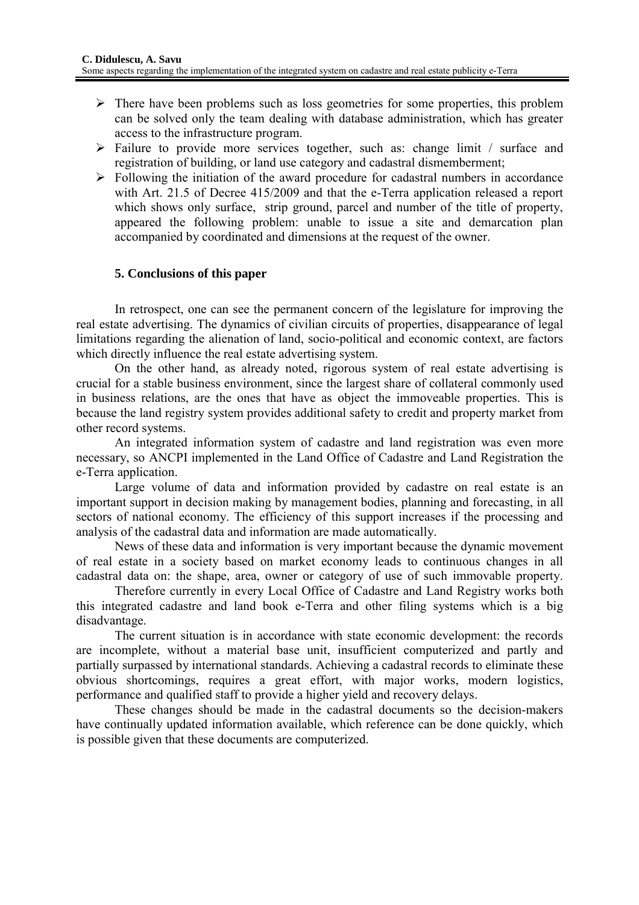- $\triangleright$  There have been problems such as loss geometries for some properties, this problem can be solved only the team dealing with database administration, which has greater access to the infrastructure program.
- ¾ Failure to provide more services together, such as: change limit / surface and registration of building, or land use category and cadastral dismemberment;
- $\triangleright$  Following the initiation of the award procedure for cadastral numbers in accordance with Art. 21.5 of Decree 415/2009 and that the e-Terra application released a report which shows only surface, strip ground, parcel and number of the title of property, appeared the following problem: unable to issue a site and demarcation plan accompanied by coordinated and dimensions at the request of the owner.

# **5. Conclusions of this paper**

 In retrospect, one can see the permanent concern of the legislature for improving the real estate advertising. The dynamics of civilian circuits of properties, disappearance of legal limitations regarding the alienation of land, socio-political and economic context, are factors which directly influence the real estate advertising system.

 On the other hand, as already noted, rigorous system of real estate advertising is crucial for a stable business environment, since the largest share of collateral commonly used in business relations, are the ones that have as object the immoveable properties. This is because the land registry system provides additional safety to credit and property market from other record systems.

 An integrated information system of cadastre and land registration was even more necessary, so ANCPI implemented in the Land Office of Cadastre and Land Registration the e-Terra application.

 Large volume of data and information provided by cadastre on real estate is an important support in decision making by management bodies, planning and forecasting, in all sectors of national economy. The efficiency of this support increases if the processing and analysis of the cadastral data and information are made automatically.

News of these data and information is very important because the dynamic movement of real estate in a society based on market economy leads to continuous changes in all cadastral data on: the shape, area, owner or category of use of such immovable property.

 Therefore currently in every Local Office of Cadastre and Land Registry works both this integrated cadastre and land book e-Terra and other filing systems which is a big disadvantage.

 The current situation is in accordance with state economic development: the records are incomplete, without a material base unit, insufficient computerized and partly and partially surpassed by international standards. Achieving a cadastral records to eliminate these obvious shortcomings, requires a great effort, with major works, modern logistics, performance and qualified staff to provide a higher yield and recovery delays.

 These changes should be made in the cadastral documents so the decision-makers have continually updated information available, which reference can be done quickly, which is possible given that these documents are computerized.